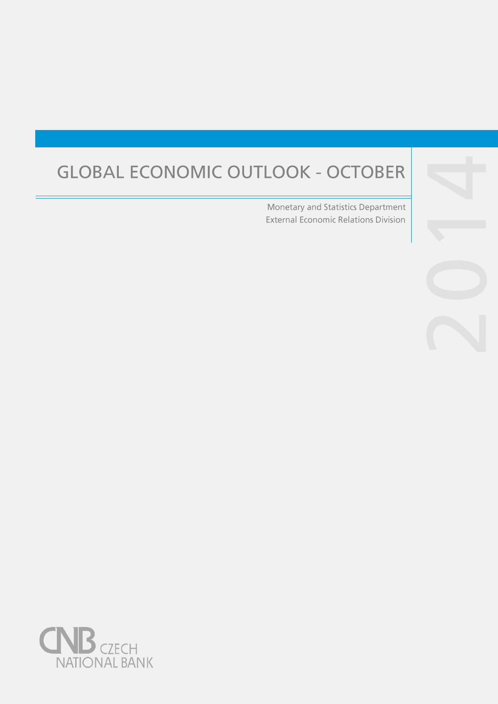# **GLOBAL ECONOMIC OUTLOOK - OCTOBER**

Monetary and Statistics Department **External Economic Relations Division** 



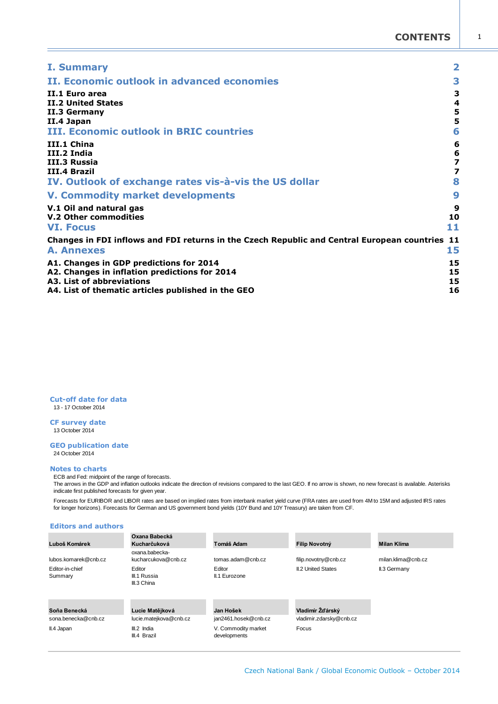| <b>I. Summary</b>                                                                                                                                                           | $\overline{\mathbf{2}}$                            |
|-----------------------------------------------------------------------------------------------------------------------------------------------------------------------------|----------------------------------------------------|
| II. Economic outlook in advanced economies                                                                                                                                  | 3                                                  |
| <b>TT.1 Euro area</b><br><b>II.2 United States</b><br>II.3 Germany<br>II.4 Japan<br><b>III. Economic outlook in BRIC countries</b>                                          | 3<br>4<br>5<br>5<br>6                              |
| III.1 China<br>III.2 India<br><b>III.3 Russia</b><br>III.4 Brazil<br>IV. Outlook of exchange rates vis-à-vis the US dollar                                                  | 6<br>$\frac{6}{7}$<br>$\overline{\mathbf{z}}$<br>8 |
| <b>V. Commodity market developments</b>                                                                                                                                     | 9                                                  |
| V.1 Oil and natural gas<br>V.2 Other commodities<br><b>VI. Focus</b>                                                                                                        | 9<br>10<br>11                                      |
| Changes in FDI inflows and FDI returns in the Czech Republic and Central European countries<br><b>A. Annexes</b>                                                            | -11<br>15                                          |
| A1. Changes in GDP predictions for 2014<br>A2. Changes in inflation predictions for 2014<br>A3. List of abbreviations<br>A4. List of thematic articles published in the GEO | 15<br>15<br>15<br>16                               |

**Cut-off date for data** 13 - 17 October 2014

**CF survey date** 13 October 2014

#### **GEO publication date** 24 October 2014

#### **Notes to charts**

ECB and Fed: midpoint of the range of forecasts.

The arrows in the GDP and inflation outlooks indicate the direction of revisions compared to the last GEO. If no arrow is shown, no new forecast is available. Asterisks indicate first published forecasts for given year.

Forecasts for EURIBOR and LIBOR rates are based on implied rates from interbank market yield curve (FRA rates are used from 4M to 15M and adjusted IRS rates for longer horizons). Forecasts for German and US government bond yields (10Y Bund and 10Y Treasury) are taken from CF.

#### **Editors and authors**

| Luboš Komárek                       | Oxana Babecká<br>Kucharčuková             | Tomáš Adam                          | <b>Filip Novotný</b>                        | <b>Milan Klíma</b> |
|-------------------------------------|-------------------------------------------|-------------------------------------|---------------------------------------------|--------------------|
| lubos.komarek@cnb.cz                | oxana.babecka-<br>kucharcukova@cnb.cz     | tomas.adam@cnb.cz                   | filip.novotny@cnb.cz                        | milan.klima@cnb.cz |
| Editor-in-chief<br>Summary          | Editor<br>III.1 Russia<br>III.3 China     | Editor<br>II.1 Eurozone             | <b>II.2 United States</b>                   | II.3 Germany       |
| Soňa Benecká<br>sona.benecka@cnb.cz | Lucie Matějková<br>lucie.matejkova@cnb.cz | Jan Hošek<br>jan2461.hosek@cnb.cz   | Vladimír Žďárský<br>vladimir.zdarsky@cnb.cz |                    |
|                                     |                                           |                                     |                                             |                    |
| II.4 Japan                          | III.2 India<br>III.4 Brazil               | V. Commodity market<br>developments | Focus                                       |                    |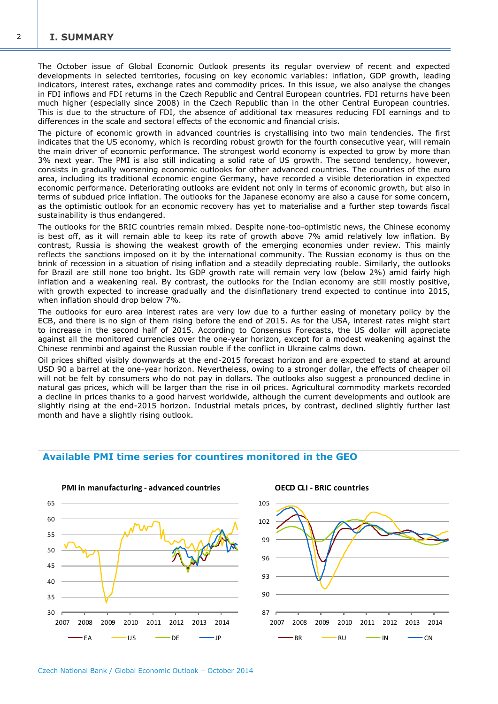<span id="page-3-0"></span>The October issue of Global Economic Outlook presents its regular overview of recent and expected developments in selected territories, focusing on key economic variables: inflation, GDP growth, leading indicators, interest rates, exchange rates and commodity prices. In this issue, we also analyse the changes in FDI inflows and FDI returns in the Czech Republic and Central European countries. FDI returns have been much higher (especially since 2008) in the Czech Republic than in the other Central European countries. This is due to the structure of FDI, the absence of additional tax measures reducing FDI earnings and to differences in the scale and sectoral effects of the economic and financial crisis.

The picture of economic growth in advanced countries is crystallising into two main tendencies. The first indicates that the US economy, which is recording robust growth for the fourth consecutive year, will remain the main driver of economic performance. The strongest world economy is expected to grow by more than 3% next year. The PMI is also still indicating a solid rate of US growth. The second tendency, however, consists in gradually worsening economic outlooks for other advanced countries. The countries of the euro area, including its traditional economic engine Germany, have recorded a visible deterioration in expected economic performance. Deteriorating outlooks are evident not only in terms of economic growth, but also in terms of subdued price inflation. The outlooks for the Japanese economy are also a cause for some concern, as the optimistic outlook for an economic recovery has yet to materialise and a further step towards fiscal sustainability is thus endangered.

The outlooks for the BRIC countries remain mixed. Despite none-too-optimistic news, the Chinese economy is best off, as it will remain able to keep its rate of growth above 7% amid relatively low inflation. By contrast, Russia is showing the weakest growth of the emerging economies under review. This mainly reflects the sanctions imposed on it by the international community. The Russian economy is thus on the brink of recession in a situation of rising inflation and a steadily depreciating rouble. Similarly, the outlooks for Brazil are still none too bright. Its GDP growth rate will remain very low (below 2%) amid fairly high inflation and a weakening real. By contrast, the outlooks for the Indian economy are still mostly positive, with growth expected to increase gradually and the disinflationary trend expected to continue into 2015, when inflation should drop below 7%.

The outlooks for euro area interest rates are very low due to a further easing of monetary policy by the ECB, and there is no sign of them rising before the end of 2015. As for the USA, interest rates might start to increase in the second half of 2015. According to Consensus Forecasts, the US dollar will appreciate against all the monitored currencies over the one-year horizon, except for a modest weakening against the Chinese renminbi and against the Russian rouble if the conflict in Ukraine calms down.

Oil prices shifted visibly downwards at the end-2015 forecast horizon and are expected to stand at around USD 90 a barrel at the one-year horizon. Nevertheless, owing to a stronger dollar, the effects of cheaper oil will not be felt by consumers who do not pay in dollars. The outlooks also suggest a pronounced decline in natural gas prices, which will be larger than the rise in oil prices. Agricultural commodity markets recorded a decline in prices thanks to a good harvest worldwide, although the current developments and outlook are slightly rising at the end-2015 horizon. Industrial metals prices, by contrast, declined slightly further last month and have a slightly rising outlook.



## **Available PMI time series for countires monitored in the GEO**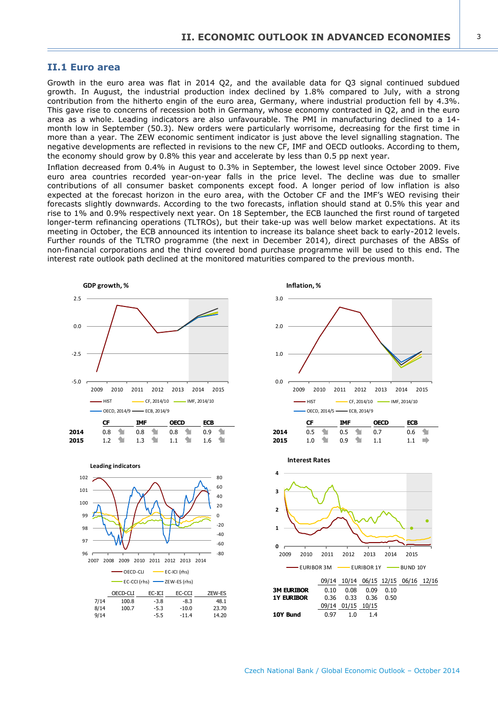#### <span id="page-4-0"></span>**II.1 Euro area**

Growth in the euro area was flat in 2014 Q2, and the available data for Q3 signal continued subdued growth. In August, the industrial production index declined by 1.8% compared to July, with a strong contribution from the hitherto engin of the euro area, Germany, where industrial production fell by 4.3%. This gave rise to concerns of recession both in Germany, whose economy contracted in Q2, and in the euro area as a whole. Leading indicators are also unfavourable. The PMI in manufacturing declined to a 14 month low in September (50.3). New orders were particularly worrisome, decreasing for the first time in more than a year. The ZEW economic sentiment indicator is just above the level signalling stagnation. The negative developments are reflected in revisions to the new CF, IMF and OECD outlooks. According to them, the economy should grow by 0.8% this year and accelerate by less than 0.5 pp next year.

Inflation decreased from 0.4% in August to 0.3% in September, the lowest level since October 2009. Five euro area countries recorded year-on-year falls in the price level. The decline was due to smaller contributions of all consumer basket components except food. A longer period of low inflation is also expected at the forecast horizon in the euro area, with the October CF and the IMF's WEO revising their forecasts slightly downwards. According to the two forecasts, inflation should stand at 0.5% this year and rise to 1% and 0.9% respectively next year. On 18 September, the ECB launched the first round of targeted longer-term refinancing operations (TLTROs), but their take-up was well below market expectations. At its meeting in October, the ECB announced its intention to increase its balance sheet back to early-2012 levels. Further rounds of the TLTRO programme (the next in December 2014), direct purchases of the ABSs of non-financial corporations and the third covered bond purchase programme will be used to this end. The interest rate outlook path declined at the monitored maturities compared to the previous month.

3.0

**Inflation, %**



OECD-CLI EC-ICI EC-CCI ZEW-ES 7/14 100.8 -3.8 -8.3 48.1 8/14 100.7 -5.3 -10.0 23.70 9/14 -5.5 -11.4 14.20

2007 2008 2009 2010 2011 2012 2013 2014

OECD-CLI EC-ICI (rhs)

96 97  $98$ 

-80 -60  $-40$  $-20$ 

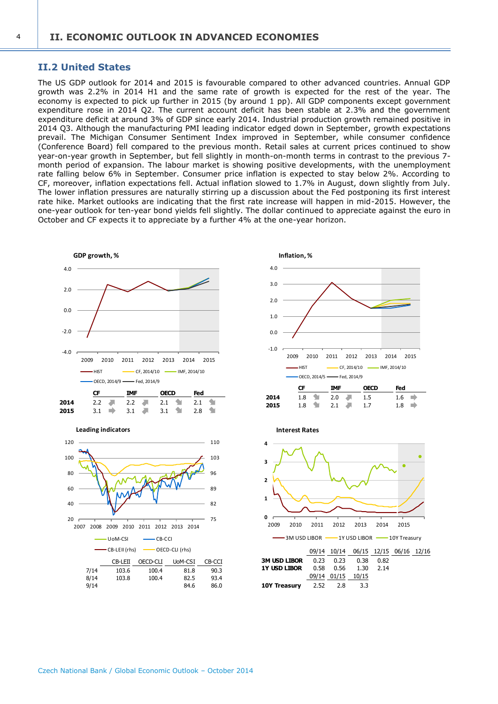## **II.2 United States**

The US GDP outlook for 2014 and 2015 is favourable compared to other advanced countries. Annual GDP growth was 2.2% in 2014 H1 and the same rate of growth is expected for the rest of the year. The economy is expected to pick up further in 2015 (by around 1 pp). All GDP components except government expenditure rose in 2014 Q2. The current account deficit has been stable at 2.3% and the government expenditure deficit at around 3% of GDP since early 2014. Industrial production growth remained positive in 2014 Q3. Although the manufacturing PMI leading indicator edged down in September, growth expectations prevail. The Michigan Consumer Sentiment Index improved in September, while consumer confidence (Conference Board) fell compared to the previous month. Retail sales at current prices continued to show year-on-year growth in September, but fell slightly in month-on-month terms in contrast to the previous 7 month period of expansion. The labour market is showing positive developments, with the unemployment rate falling below 6% in September. Consumer price inflation is expected to stay below 2%. According to CF, moreover, inflation expectations fell. Actual inflation slowed to 1.7% in August, down slightly from July. The lower inflation pressures are naturally stirring up a discussion about the Fed postponing its first interest rate hike. Market outlooks are indicating that the first rate increase will happen in mid-2015. However, the one-year outlook for ten-year bond yields fell slightly. The dollar continued to appreciate against the euro in October and CF expects it to appreciate by a further 4% at the one-year horizon.









**Interest Rates**

| <b>3M USD LIBOR</b> 0.23 0.23 0.38 0.82 |                   |  |  |
|-----------------------------------------|-------------------|--|--|
| <b>1Y USD LIBOR</b> 0.58 0.56 1.30 2.14 |                   |  |  |
|                                         | 09/14 01/15 10/15 |  |  |
| <b>10Y Treasury</b> $2.52$ $2.8$ $3.3$  |                   |  |  |

<span id="page-5-0"></span> $\overline{A}$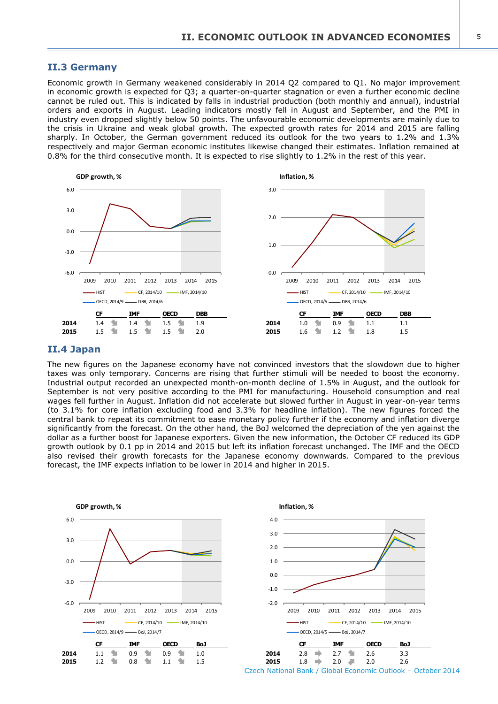#### <span id="page-6-0"></span>**II.3 Germany**

Economic growth in Germany weakened considerably in 2014 Q2 compared to Q1. No major improvement in economic growth is expected for Q3; a quarter-on-quarter stagnation or even a further economic decline cannot be ruled out. This is indicated by falls in industrial production (both monthly and annual), industrial orders and exports in August. Leading indicators mostly fell in August and September, and the PMI in industry even dropped slightly below 50 points. The unfavourable economic developments are mainly due to the crisis in Ukraine and weak global growth. The expected growth rates for 2014 and 2015 are falling sharply. In October, the German government reduced its outlook for the two years to 1.2% and 1.3% respectively and major German economic institutes likewise changed their estimates. Inflation remained at 0.8% for the third consecutive month. It is expected to rise slightly to 1.2% in the rest of this year.



#### **II.4 Japan**

The new figures on the Japanese economy have not convinced investors that the slowdown due to higher taxes was only temporary. Concerns are rising that further stimuli will be needed to boost the economy. Industrial output recorded an unexpected month-on-month decline of 1.5% in August, and the outlook for September is not very positive according to the PMI for manufacturing. Household consumption and real wages fell further in August. Inflation did not accelerate but slowed further in August in year-on-year terms (to 3.1% for core inflation excluding food and 3.3% for headline inflation). The new figures forced the central bank to repeat its commitment to ease monetary policy further if the economy and inflation diverge significantly from the forecast. On the other hand, the BoJ welcomed the depreciation of the yen against the dollar as a further boost for Japanese exporters. Given the new information, the October CF reduced its GDP growth outlook by 0.1 pp in 2014 and 2015 but left its inflation forecast unchanged. The IMF and the OECD also revised their growth forecasts for the Japanese economy downwards. Compared to the previous forecast, the IMF expects inflation to be lower in 2014 and higher in 2015.



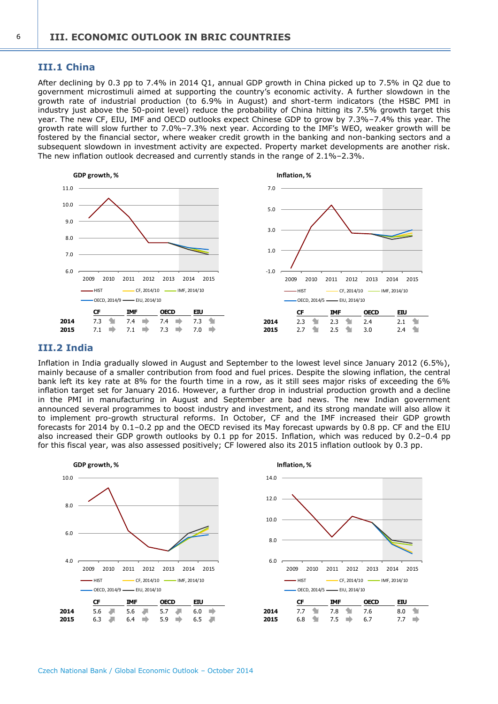## <span id="page-7-0"></span>**III.1 China**

After declining by 0.3 pp to 7.4% in 2014 Q1, annual GDP growth in China picked up to 7.5% in Q2 due to government microstimuli aimed at supporting the country's economic activity. A further slowdown in the growth rate of industrial production (to 6.9% in August) and short-term indicators (the HSBC PMI in industry just above the 50-point level) reduce the probability of China hitting its 7.5% growth target this year. The new CF, EIU, IMF and OECD outlooks expect Chinese GDP to grow by 7.3%–7.4% this year. The growth rate will slow further to 7.0%–7.3% next year. According to the IMF's WEO, weaker growth will be fostered by the financial sector, where weaker credit growth in the banking and non-banking sectors and a subsequent slowdown in investment activity are expected. Property market developments are another risk. The new inflation outlook decreased and currently stands in the range of 2.1%–2.3%.



## **III.2 India**

Inflation in India gradually slowed in August and September to the lowest level since January 2012 (6.5%), mainly because of a smaller contribution from food and fuel prices. Despite the slowing inflation, the central bank left its key rate at 8% for the fourth time in a row, as it still sees major risks of exceeding the 6% inflation target set for January 2016. However, a further drop in industrial production growth and a decline in the PMI in manufacturing in August and September are bad news. The new Indian government announced several programmes to boost industry and investment, and its strong mandate will also allow it to implement pro-growth structural reforms. In October, CF and the IMF increased their GDP growth forecasts for 2014 by 0.1–0.2 pp and the OECD revised its May forecast upwards by 0.8 pp. CF and the EIU also increased their GDP growth outlooks by 0.1 pp for 2015. Inflation, which was reduced by 0.2–0.4 pp for this fiscal year, was also assessed positively; CF lowered also its 2015 inflation outlook by 0.3 pp.

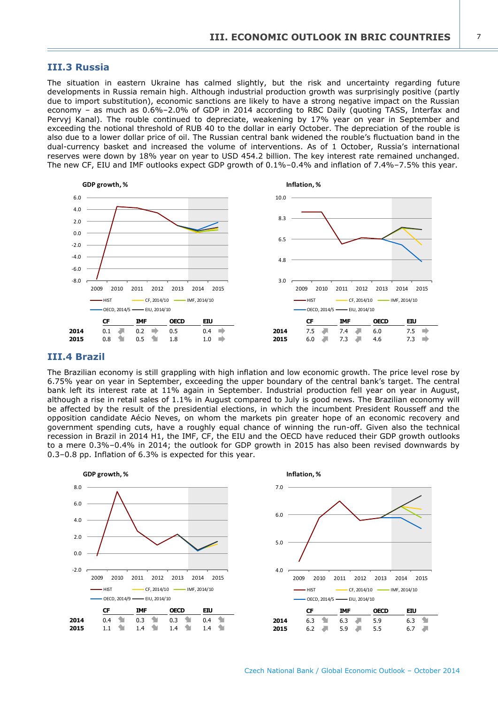#### <span id="page-8-0"></span>**III.3 Russia**

The situation in eastern Ukraine has calmed slightly, but the risk and uncertainty regarding future developments in Russia remain high. Although industrial production growth was surprisingly positive (partly due to import substitution), economic sanctions are likely to have a strong negative impact on the Russian economy – as much as 0.6%–2.0% of GDP in 2014 according to RBC Daily (quoting TASS, Interfax and Pervyj Kanal). The rouble continued to depreciate, weakening by 17% year on year in September and exceeding the notional threshold of RUB 40 to the dollar in early October. The depreciation of the rouble is also due to a lower dollar price of oil. The Russian central bank widened the rouble's fluctuation band in the dual-currency basket and increased the volume of interventions. As of 1 October, Russia's international reserves were down by 18% year on year to USD 454.2 billion. The key interest rate remained unchanged. The new CF, EIU and IMF outlooks expect GDP growth of 0.1%–0.4% and inflation of 7.4%–7.5% this year.



#### **III.4 Brazil**

The Brazilian economy is still grappling with high inflation and low economic growth. The price level rose by 6.75% year on year in September, exceeding the upper boundary of the central bank's target. The central bank left its interest rate at 11% again in September. Industrial production fell year on year in August, although a rise in retail sales of 1.1% in August compared to July is good news. The Brazilian economy will be affected by the result of the presidential elections, in which the incumbent President Rousseff and the opposition candidate Aécio Neves, on whom the markets pin greater hope of an economic recovery and government spending cuts, have a roughly equal chance of winning the run-off. Given also the technical recession in Brazil in 2014 H1, the IMF, CF, the EIU and the OECD have reduced their GDP growth outlooks to a mere 0.3%–0.4% in 2014; the outlook for GDP growth in 2015 has also been revised downwards by 0.3–0.8 pp. Inflation of 6.3% is expected for this year.

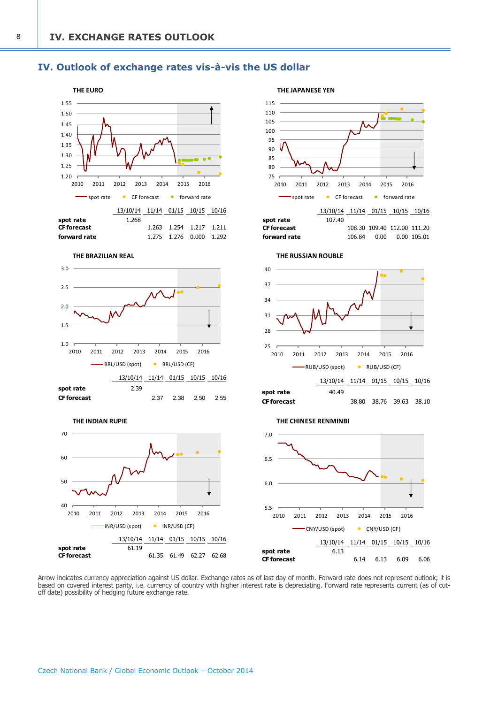## <span id="page-9-0"></span>**IV. Outlook of exchange rates vis-à-vis the US dollar**



Arrow indicates currency appreciation against US dollar. Exchange rates as of last day of month. Forward rate does not represent outlook; it is based on covered interest parity, i.e. currency of country with higher interest rate is depreciating. Forward rate represents current (as of cutoff date) possibility of hedging future exchange rate.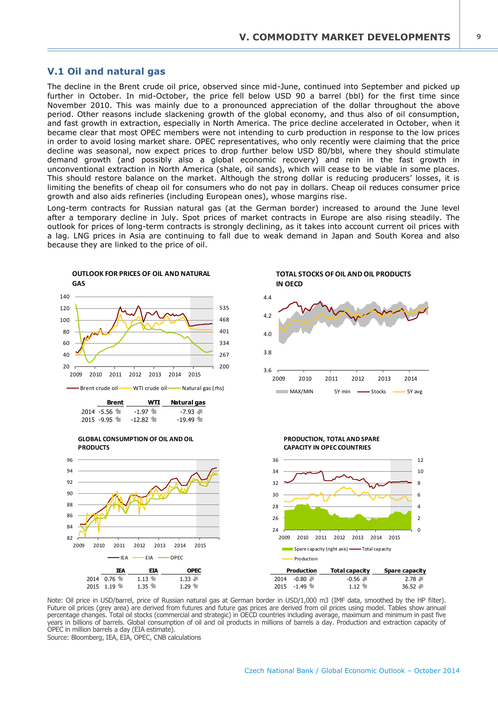## <span id="page-10-0"></span>**V.1 Oil and natural gas**

The decline in the Brent crude oil price, observed since mid-June, continued into September and picked up further in October. In mid-October, the price fell below USD 90 a barrel (bbl) for the first time since November 2010. This was mainly due to a pronounced appreciation of the dollar throughout the above period. Other reasons include slackening growth of the global economy, and thus also of oil consumption, and fast growth in extraction, especially in North America. The price decline accelerated in October, when it became clear that most OPEC members were not intending to curb production in response to the low prices in order to avoid losing market share. OPEC representatives, who only recently were claiming that the price decline was seasonal, now expect prices to drop further below USD 80/bbl, where they should stimulate demand growth (and possibly also a global economic recovery) and rein in the fast growth in unconventional extraction in North America (shale, oil sands), which will cease to be viable in some places. This should restore balance on the market. Although the strong dollar is reducing producers' losses, it is limiting the benefits of cheap oil for consumers who do not pay in dollars. Cheap oil reduces consumer price growth and also aids refineries (including European ones), whose margins rise.

Long-term contracts for Russian natural gas (at the German border) increased to around the June level after a temporary decline in July. Spot prices of market contracts in Europe are also rising steadily. The outlook for prices of long-term contracts is strongly declining, as it takes into account current oil prices with a lag. LNG prices in Asia are continuing to fall due to weak demand in Japan and South Korea and also because they are linked to the price of oil.



Note: Oil price in USD/barrel, price of Russian natural gas at German border in USD/1,000 m3 (IMF data, smoothed by the HP filter). Future oil prices (grey area) are derived from futures and future gas prices are derived from oil prices using model. Tables show annual percentage changes. Total oil stocks (commercial and strategic) in OECD countries including average, maximum and minimum in past five years in billions of barrels. Global consumption of oil and oil products in millions of barrels a day. Production and extraction capacity of OPEC in million barrels a day (EIA estimate).

Source: Bloomberg, IEA, EIA, OPEC, CNB calculations

Czech National Bank / Global Economic Outlook – October 2014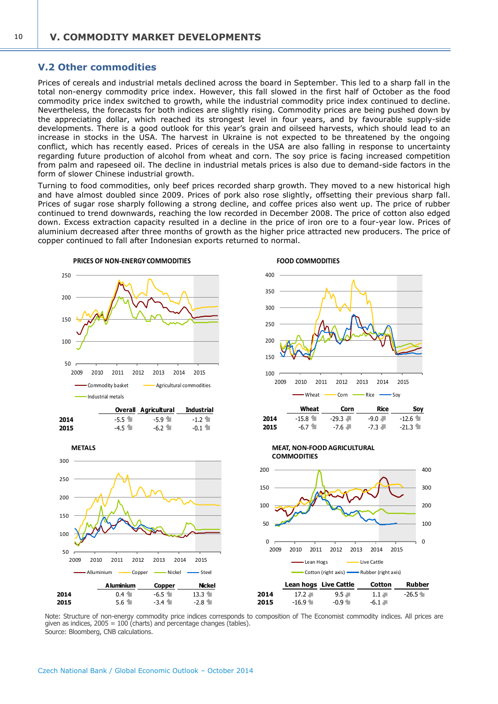#### <span id="page-11-0"></span>**V.2 Other commodities**

Prices of cereals and industrial metals declined across the board in September. This led to a sharp fall in the total non-energy commodity price index. However, this fall slowed in the first half of October as the food commodity price index switched to growth, while the industrial commodity price index continued to decline. Nevertheless, the forecasts for both indices are slightly rising. Commodity prices are being pushed down by the appreciating dollar, which reached its strongest level in four years, and by favourable supply-side developments. There is a good outlook for this year's grain and oilseed harvests, which should lead to an increase in stocks in the USA. The harvest in Ukraine is not expected to be threatened by the ongoing conflict, which has recently eased. Prices of cereals in the USA are also falling in response to uncertainty regarding future production of alcohol from wheat and corn. The soy price is facing increased competition from palm and rapeseed oil. The decline in industrial metals prices is also due to demand-side factors in the form of slower Chinese industrial growth.

Turning to food commodities, only beef prices recorded sharp growth. They moved to a new historical high and have almost doubled since 2009. Prices of pork also rose slightly, offsetting their previous sharp fall. Prices of sugar rose sharply following a strong decline, and coffee prices also went up. The price of rubber continued to trend downwards, reaching the low recorded in December 2008. The price of cotton also edged down. Excess extraction capacity resulted in a decline in the price of iron ore to a four-year low. Prices of aluminium decreased after three months of growth as the higher price attracted new producers. The price of copper continued to fall after Indonesian exports returned to normal.



Note: Structure of non-energy commodity price indices corresponds to composition of The Economist commodity indices. All prices are given as indices,  $2005 = 100$  (charts) and percentage changes (tables). Source: Bloomberg, CNB calculations.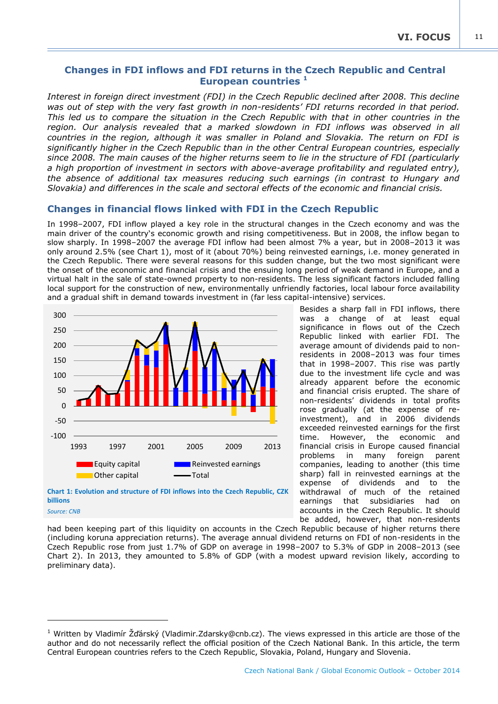11

## <span id="page-12-0"></span>**Changes in FDI inflows and FDI returns in the Czech Republic and Central European countries <sup>1</sup>**

*Interest in foreign direct investment (FDI) in the Czech Republic declined after 2008. This decline was out of step with the very fast growth in non-residents' FDI returns recorded in that period. This led us to compare the situation in the Czech Republic with that in other countries in the region. Our analysis revealed that a marked slowdown in FDI inflows was observed in all countries in the region, although it was smaller in Poland and Slovakia. The return on FDI is significantly higher in the Czech Republic than in the other Central European countries, especially since 2008. The main causes of the higher returns seem to lie in the structure of FDI (particularly a high proportion of investment in sectors with above-average profitability and regulated entry), the absence of additional tax measures reducing such earnings (in contrast to Hungary and Slovakia) and differences in the scale and sectoral effects of the economic and financial crisis.*

## **Changes in financial flows linked with FDI in the Czech Republic**

In 1998–2007, FDI inflow played a key role in the structural changes in the Czech economy and was the main driver of the country's economic growth and rising competitiveness. But in 2008, the inflow began to slow sharply. In 1998–2007 the average FDI inflow had been almost 7% a year, but in 2008–2013 it was only around 2.5% (see Chart 1), most of it (about 70%) being reinvested earnings, i.e. money generated in the Czech Republic. There were several reasons for this sudden change, but the two most significant were the onset of the economic and financial crisis and the ensuing long period of weak demand in Europe, and a virtual halt in the sale of state-owned property to non-residents. The less significant factors included falling local support for the construction of new, environmentally unfriendly factories, local labour force availability and a gradual shift in demand towards investment in (far less capital-intensive) services.





-

Besides a sharp fall in FDI inflows, there was a change of at least equal significance in flows out of the Czech Republic linked with earlier FDI. The average amount of dividends paid to nonresidents in 2008–2013 was four times that in 1998–2007. This rise was partly due to the investment life cycle and was already apparent before the economic and financial crisis erupted. The share of non-residents' dividends in total profits rose gradually (at the expense of reinvestment), and in 2006 dividends exceeded reinvested earnings for the first time. However, the economic and financial crisis in Europe caused financial problems in many foreign parent companies, leading to another (this time sharp) fall in reinvested earnings at the expense of dividends and to the withdrawal of much of the retained earnings that subsidiaries had on accounts in the Czech Republic. It should be added, however, that non-residents

had been keeping part of this liquidity on accounts in the Czech Republic because of higher returns there (including koruna appreciation returns). The average annual dividend returns on FDI of non-residents in the Czech Republic rose from just 1.7% of GDP on average in 1998–2007 to 5.3% of GDP in 2008–2013 (see Chart 2). In 2013, they amounted to 5.8% of GDP (with a modest upward revision likely, according to preliminary data).

<sup>&</sup>lt;sup>1</sup> Written by Vladimír Žďárský (Vladimir.Zdarsky@cnb.cz). The views expressed in this article are those of the author and do not necessarily reflect the official position of the Czech National Bank. In this article, the term Central European countries refers to the Czech Republic, Slovakia, Poland, Hungary and Slovenia.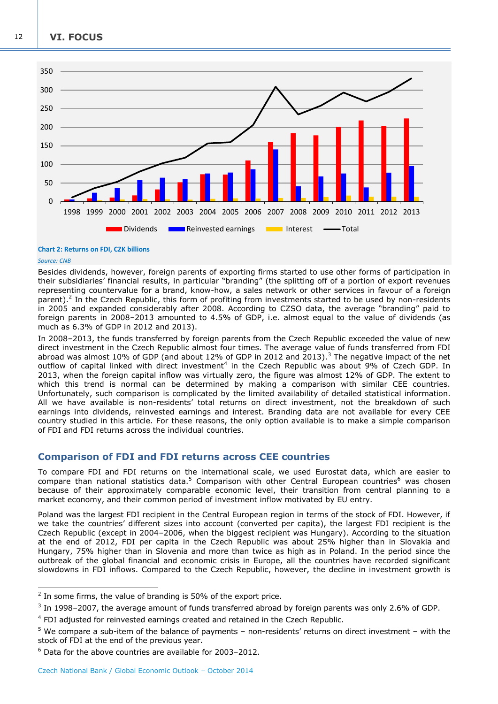**VI. FOCUS**



#### **Chart 2: Returns on FDI, CZK billions**

#### *Source: CNB*

-

Besides dividends, however, foreign parents of exporting firms started to use other forms of participation in their subsidiaries' financial results, in particular "branding" (the splitting off of a portion of export revenues representing countervalue for a brand, know-how, a sales network or other services in favour of a foreign parent).<sup>2</sup> In the Czech Republic, this form of profiting from investments started to be used by non-residents in 2005 and expanded considerably after 2008. According to CZSO data, the average "branding" paid to foreign parents in 2008–2013 amounted to 4.5% of GDP, i.e. almost equal to the value of dividends (as much as 6.3% of GDP in 2012 and 2013).

In 2008–2013, the funds transferred by foreign parents from the Czech Republic exceeded the value of new direct investment in the Czech Republic almost four times. The average value of funds transferred from FDI abroad was almost 10% of GDP (and about 12% of GDP in 2012 and 2013).<sup>3</sup> The negative impact of the net outflow of capital linked with direct investment<sup>4</sup> in the Czech Republic was about 9% of Czech GDP. In 2013, when the foreign capital inflow was virtually zero, the figure was almost 12% of GDP. The extent to which this trend is normal can be determined by making a comparison with similar CEE countries. Unfortunately, such comparison is complicated by the limited availability of detailed statistical information. All we have available is non-residents' total returns on direct investment, not the breakdown of such earnings into dividends, reinvested earnings and interest. Branding data are not available for every CEE country studied in this article. For these reasons, the only option available is to make a simple comparison of FDI and FDI returns across the individual countries.

## **Comparison of FDI and FDI returns across CEE countries**

To compare FDI and FDI returns on the international scale, we used Eurostat data, which are easier to compare than national statistics data.<sup>5</sup> Comparison with other Central European countries<sup>6</sup> was chosen because of their approximately comparable economic level, their transition from central planning to a market economy, and their common period of investment inflow motivated by EU entry.

Poland was the largest FDI recipient in the Central European region in terms of the stock of FDI. However, if we take the countries' different sizes into account (converted per capita), the largest FDI recipient is the Czech Republic (except in 2004–2006, when the biggest recipient was Hungary). According to the situation at the end of 2012, FDI per capita in the Czech Republic was about 25% higher than in Slovakia and Hungary, 75% higher than in Slovenia and more than twice as high as in Poland. In the period since the outbreak of the global financial and economic crisis in Europe, all the countries have recorded significant slowdowns in FDI inflows. Compared to the Czech Republic, however, the decline in investment growth is

 $2$  In some firms, the value of branding is 50% of the export price.

 $3$  In 1998–2007, the average amount of funds transferred abroad by foreign parents was only 2.6% of GDP.

<sup>&</sup>lt;sup>4</sup> FDI adjusted for reinvested earnings created and retained in the Czech Republic.

<sup>5</sup> We compare a sub-item of the balance of payments – non-residents' returns on direct investment – with the stock of FDI at the end of the previous year.

 $6$  Data for the above countries are available for 2003–2012.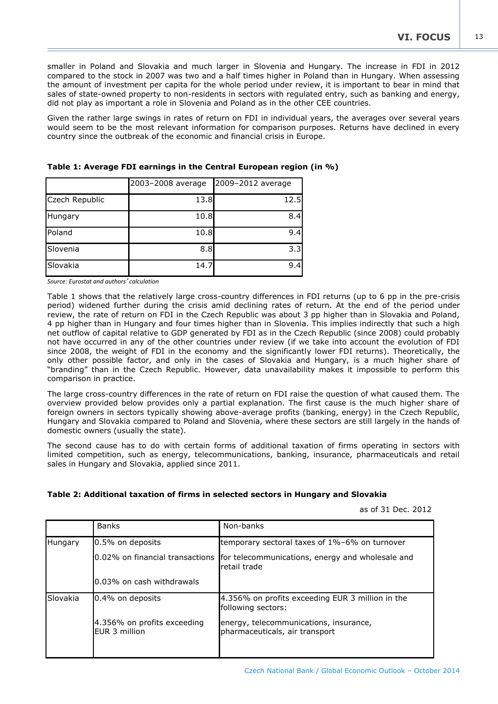smaller in Poland and Slovakia and much larger in Slovenia and Hungary. The increase in FDI in 2012 compared to the stock in 2007 was two and a half times higher in Poland than in Hungary. When assessing the amount of investment per capita for the whole period under review, it is important to bear in mind that sales of state-owned property to non-residents in sectors with regulated entry, such as banking and energy, did not play as important a role in Slovenia and Poland as in the other CEE countries.

Given the rather large swings in rates of return on FDI in individual years, the averages over several years would seem to be the most relevant information for comparison purposes. Returns have declined in every country since the outbreak of the economic and financial crisis in Europe.

|                | 2003-2008 average | 2009-2012 average |
|----------------|-------------------|-------------------|
| Czech Republic | 13.8              | 12.5              |
| Hungary        | 10.8              | 8.4               |
| Poland         | 10.8              | 9.4               |
| Slovenia       | 8.8               | 3.3               |
| Slovakia       | 14.7              | 9.4               |

|  | Table 1: Average FDI earnings in the Central European region (in %) |  |  |
|--|---------------------------------------------------------------------|--|--|
|--|---------------------------------------------------------------------|--|--|

*Source: Eurostat and authors' calculation*

Table 1 shows that the relatively large cross-country differences in FDI returns (up to 6 pp in the pre-crisis period) widened further during the crisis amid declining rates of return. At the end of the period under review, the rate of return on FDI in the Czech Republic was about 3 pp higher than in Slovakia and Poland, 4 pp higher than in Hungary and four times higher than in Slovenia. This implies indirectly that such a high net outflow of capital relative to GDP generated by FDI as in the Czech Republic (since 2008) could probably not have occurred in any of the other countries under review (if we take into account the evolution of FDI since 2008, the weight of FDI in the economy and the significantly lower FDI returns). Theoretically, the only other possible factor, and only in the cases of Slovakia and Hungary, is a much higher share of "branding" than in the Czech Republic. However, data unavailability makes it impossible to perform this comparison in practice.

The large cross-country differences in the rate of return on FDI raise the question of what caused them. The overview provided below provides only a partial explanation. The first cause is the much higher share of foreign owners in sectors typically showing above-average profits (banking, energy) in the Czech Republic, Hungary and Slovakia compared to Poland and Slovenia, where these sectors are still largely in the hands of domestic owners (usually the state).

The second cause has to do with certain forms of additional taxation of firms operating in sectors with limited competition, such as energy, telecommunications, banking, insurance, pharmaceuticals and retail sales in Hungary and Slovakia, applied since 2011.

## **Table 2: Additional taxation of firms in selected sectors in Hungary and Slovakia**

as of 31 Dec. 2012

|          | <b>Banks</b>                                 | Non-banks                                                                |
|----------|----------------------------------------------|--------------------------------------------------------------------------|
| Hungary  | 0.5% on deposits                             | temporary sectoral taxes of 1%-6% on turnover                            |
|          | 0.02% on financial transactions              | for telecommunications, energy and wholesale and<br>retail trade         |
|          | 0.03% on cash withdrawals                    |                                                                          |
| Slovakia | 0.4% on deposits                             | 4.356% on profits exceeding EUR 3 million in the<br>following sectors:   |
|          | 4.356% on profits exceeding<br>FUR 3 million | energy, telecommunications, insurance,<br>pharmaceuticals, air transport |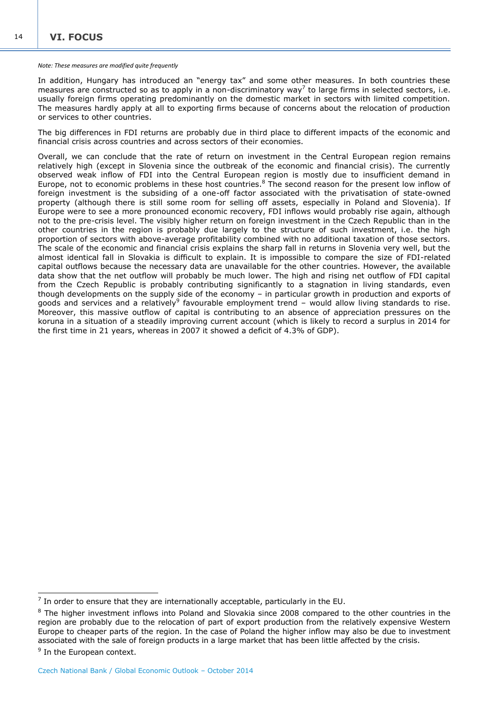#### *Note: These measures are modified quite frequently*

In addition, Hungary has introduced an "energy tax" and some other measures. In both countries these measures are constructed so as to apply in a non-discriminatory way<sup>7</sup> to large firms in selected sectors, i.e. usually foreign firms operating predominantly on the domestic market in sectors with limited competition. The measures hardly apply at all to exporting firms because of concerns about the relocation of production or services to other countries.

The big differences in FDI returns are probably due in third place to different impacts of the economic and financial crisis across countries and across sectors of their economies.

Overall, we can conclude that the rate of return on investment in the Central European region remains relatively high (except in Slovenia since the outbreak of the economic and financial crisis). The currently observed weak inflow of FDI into the Central European region is mostly due to insufficient demand in Europe, not to economic problems in these host countries.<sup>8</sup> The second reason for the present low inflow of foreign investment is the subsiding of a one-off factor associated with the privatisation of state-owned property (although there is still some room for selling off assets, especially in Poland and Slovenia). If Europe were to see a more pronounced economic recovery, FDI inflows would probably rise again, although not to the pre-crisis level. The visibly higher return on foreign investment in the Czech Republic than in the other countries in the region is probably due largely to the structure of such investment, i.e. the high proportion of sectors with above-average profitability combined with no additional taxation of those sectors. The scale of the economic and financial crisis explains the sharp fall in returns in Slovenia very well, but the almost identical fall in Slovakia is difficult to explain. It is impossible to compare the size of FDI-related capital outflows because the necessary data are unavailable for the other countries. However, the available data show that the net outflow will probably be much lower. The high and rising net outflow of FDI capital from the Czech Republic is probably contributing significantly to a stagnation in living standards, even though developments on the supply side of the economy – in particular growth in production and exports of goods and services and a relatively<sup>9</sup> favourable employment trend - would allow living standards to rise. Moreover, this massive outflow of capital is contributing to an absence of appreciation pressures on the koruna in a situation of a steadily improving current account (which is likely to record a surplus in 2014 for the first time in 21 years, whereas in 2007 it showed a deficit of 4.3% of GDP).

-

 $<sup>7</sup>$  In order to ensure that they are internationally acceptable, particularly in the EU.</sup>

<sup>&</sup>lt;sup>8</sup> The higher investment inflows into Poland and Slovakia since 2008 compared to the other countries in the region are probably due to the relocation of part of export production from the relatively expensive Western Europe to cheaper parts of the region. In the case of Poland the higher inflow may also be due to investment associated with the sale of foreign products in a large market that has been little affected by the crisis.

<sup>&</sup>lt;sup>9</sup> In the European context.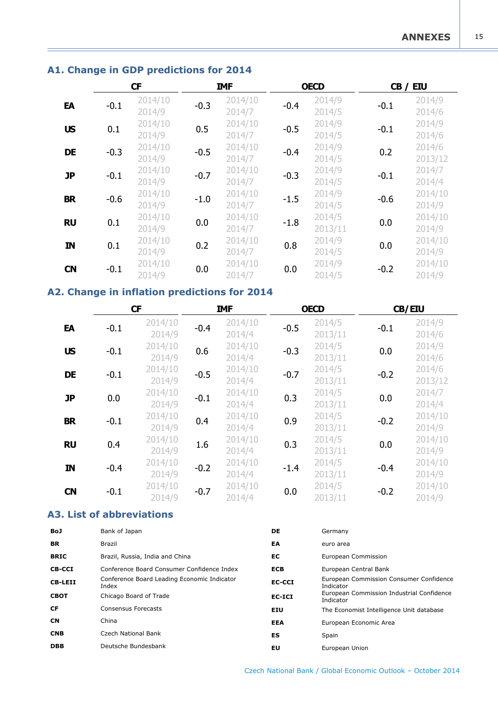## <span id="page-16-0"></span>**A1. Change in GDP predictions for 2014**

|               | CF     |                   | <b>IMF</b> |                   |        | <b>OECD</b>       |        | CB / EIU          |
|---------------|--------|-------------------|------------|-------------------|--------|-------------------|--------|-------------------|
| EA            | $-0.1$ | 2014/10<br>2014/9 | $-0.3$     | 2014/10<br>2014/7 | $-0.4$ | 2014/9<br>2014/5  | $-0.1$ | 2014/9<br>2014/6  |
| <b>US</b>     | 0.1    | 2014/10<br>2014/9 | 0.5        | 2014/10<br>2014/7 | $-0.5$ | 2014/9<br>2014/5  | $-0.1$ | 2014/9<br>2014/6  |
| <b>DE</b>     | $-0.3$ | 2014/10<br>2014/9 | $-0.5$     | 2014/10<br>2014/7 | $-0.4$ | 2014/9<br>2014/5  | 0.2    | 2014/6<br>2013/12 |
| <b>JP</b>     | $-0.1$ | 2014/10<br>2014/9 | $-0.7$     | 2014/10<br>2014/7 | $-0.3$ | 2014/9<br>2014/5  | $-0.1$ | 2014/7<br>2014/4  |
| <b>BR</b>     | $-0.6$ | 2014/10<br>2014/9 | $-1.0$     | 2014/10<br>2014/7 | $-1.5$ | 2014/9<br>2014/5  | $-0.6$ | 2014/10<br>2014/9 |
| <b>RU</b>     | 0.1    | 2014/10<br>2014/9 | 0.0        | 2014/10<br>2014/7 | $-1.8$ | 2014/5<br>2013/11 | 0.0    | 2014/10<br>2014/9 |
| $\mathbf{IN}$ | 0.1    | 2014/10<br>2014/9 | 0.2        | 2014/10<br>2014/7 | 0.8    | 2014/9<br>2014/5  | 0.0    | 2014/10<br>2014/9 |
| <b>CN</b>     | $-0.1$ | 2014/10<br>2014/9 | 0.0        | 2014/10<br>2014/7 | 0.0    | 2014/9<br>2014/5  | $-0.2$ | 2014/10<br>2014/9 |

## **A2. Change in inflation predictions for 2014**

| EA                 | $-0.1$                                                                                    | 2014/10<br>2014/9                           | $-0.3$ | 2014/10<br>2014/7           | $-0.4$                | 2014/9<br>2014/5       | $-0.1$                                    | 2014/9<br>2014/6  |
|--------------------|-------------------------------------------------------------------------------------------|---------------------------------------------|--------|-----------------------------|-----------------------|------------------------|-------------------------------------------|-------------------|
| <b>US</b>          | 0.1                                                                                       | 2014/10<br>2014/9                           | 0.5    | 2014/10<br>2014/7           | $-0.5$                | 2014/9<br>2014/5       | $-0.1$                                    | 2014/9<br>2014/6  |
| <b>DE</b>          | $-0.3$                                                                                    | 2014/10<br>2014/9                           | $-0.5$ | 2014/10<br>2014/7           | $-0.4$                | 2014/9<br>2014/5       | 0.2                                       | 2014/6<br>2013/12 |
| <b>JP</b>          | $-0.1$                                                                                    | 2014/10<br>2014/9                           | $-0.7$ | 2014/10<br>2014/7           | $-0.3$                | 2014/9<br>2014/5       | $-0.1$                                    | 2014/7<br>2014/4  |
| <b>BR</b>          | $-0.6$                                                                                    | 2014/10<br>2014/9                           | $-1.0$ | 2014/10<br>2014/7           | $-1.5$                | 2014/9<br>2014/5       | $-0.6$                                    | 2014/10<br>2014/9 |
| <b>RU</b>          | 0.1                                                                                       | 2014/10<br>2014/9                           | 0.0    | 2014/10<br>2014/7           | $-1.8$                | 2014/5<br>2013/11      | 0.0                                       | 2014/10<br>2014/9 |
| IN                 | 0.1                                                                                       | 2014/10<br>2014/9                           | 0.2    | 2014/10<br>2014/7           | 0.8                   | 2014/9<br>2014/5       | 0.0                                       | 2014/10<br>2014/9 |
| <b>CN</b>          | $-0.1$                                                                                    | 2014/10<br>2014/9                           | 0.0    | 2014/10<br>2014/7           | 0.0                   | 2014/9<br>2014/5       | $-0.2$                                    | 2014/10<br>2014/9 |
|                    |                                                                                           | 2. Change in inflation predictions for 2014 |        |                             |                       |                        |                                           |                   |
|                    |                                                                                           | <b>CF</b>                                   |        | <b>IMF</b>                  |                       | <b>OECD</b>            |                                           | CB/EIU            |
| EA                 | $-0.1$                                                                                    | 2014/10<br>2014/9                           | $-0.4$ | 2014/10<br>2014/4           | $-0.5$                | 2014/5<br>2013/11      | $-0.1$                                    | 2014/9<br>2014/6  |
| <b>US</b>          | $-0.1$                                                                                    | 2014/10<br>2014/9                           | 0.6    | 2014/10<br>2014/4           | $-0.3$                | 2014/5<br>2013/11      | 0.0                                       | 2014/9<br>2014/6  |
| <b>DE</b>          | $-0.1$                                                                                    | 2014/10<br>2014/9                           | $-0.5$ | 2014/10<br>2014/4           | $-0.7$                | 2014/5<br>2013/11      | $-0.2$                                    | 2014/6<br>2013/12 |
| <b>JP</b>          | 0.0                                                                                       | 2014/10<br>2014/9                           | $-0.1$ | 2014/10<br>2014/4           | 0.3                   | 2014/5<br>2013/11      | 0.0                                       | 2014/7<br>2014/4  |
| <b>BR</b>          | $-0.1$                                                                                    | 2014/10<br>2014/9                           | 0.4    | 2014/10<br>2014/4           | 0.9                   | 2014/5<br>2013/11      | $-0.2$                                    | 2014/10<br>2014/9 |
| <b>RU</b>          | 0.4                                                                                       | 2014/10<br>2014/9                           | 1.6    | 2014/10<br>2014/4           | 0.3                   | 2014/5<br>2013/11      | 0.0                                       | 2014/10<br>2014/9 |
| IN                 | $-0.4$                                                                                    | 2014/10<br>2014/9                           | $-0.2$ | 2014/10<br>2014/4           | $-1.4$                | 2014/5<br>2013/11      | $-0.4$                                    | 2014/10<br>2014/9 |
| <b>CN</b>          | $-0.1$                                                                                    | 2014/10<br>2014/9                           | $-0.7$ | 2014/10<br>2014/4           | 0.0                   | 2014/5<br>2013/11      | $-0.2$                                    | 2014/10<br>2014/9 |
|                    |                                                                                           | <b>3. List of abbreviations</b>             |        |                             |                       |                        |                                           |                   |
| J                  | Bank of Japan                                                                             |                                             |        |                             | DE                    | Germany                |                                           |                   |
|                    | Brazil                                                                                    |                                             |        |                             | EA                    | euro area              |                                           |                   |
| łС                 |                                                                                           | Brazil, Russia, India and China             |        |                             | EC                    | European Commission    |                                           |                   |
| <b>-CCI</b>        | Conference Board Consumer Confidence Index<br>Conference Board Leading Economic Indicator |                                             |        | <b>ECB</b>                  | European Central Bank |                        | European Commission Consumer Confidence   |                   |
| <b>-LEII</b><br>ЮT | Index                                                                                     |                                             |        | <b>EC-CCI</b>               | Indicator             |                        | European Commission Industrial Confidence |                   |
|                    | Chicago Board of Trade<br><b>Consensus Forecasts</b>                                      |                                             |        | <b>EC-ICI</b><br><b>EIU</b> | Indicator             |                        |                                           |                   |
|                    | China                                                                                     |                                             |        |                             | EEA                   | European Economic Area | The Economist Intelligence Unit database  |                   |
| IB                 |                                                                                           | Czech National Bank                         |        |                             | ES                    | Spain                  |                                           |                   |
| ΙB                 |                                                                                           | Deutsche Bundesbank                         |        |                             | EU                    | European Union         |                                           |                   |

## **A3. List of abbreviations**

| <b>BoJ</b>     | Bank of Japan                                        | DE            | Germany                                                |
|----------------|------------------------------------------------------|---------------|--------------------------------------------------------|
| <b>BR</b>      | <b>Brazil</b>                                        | EA            | euro area                                              |
| <b>BRIC</b>    | Brazil, Russia, India and China                      | EC            | European Commission                                    |
| <b>CB-CCI</b>  | Conference Board Consumer Confidence Index           | <b>ECB</b>    | European Central Bank                                  |
| <b>CB-LEII</b> | Conference Board Leading Economic Indicator<br>Index | <b>EC-CCI</b> | European Commission Consumer Confidence<br>Indicator   |
| <b>CBOT</b>    | Chicago Board of Trade                               | EC-ICI        | European Commission Industrial Confidence<br>Indicator |
| CF             | Consensus Forecasts                                  | <b>EIU</b>    | The Economist Intelligence Unit database               |
| <b>CN</b>      | China                                                | <b>EEA</b>    | European Economic Area                                 |
| <b>CNB</b>     | Czech National Bank                                  | ES            | Spain                                                  |
| <b>DBB</b>     | Deutsche Bundesbank                                  | EU            | European Union                                         |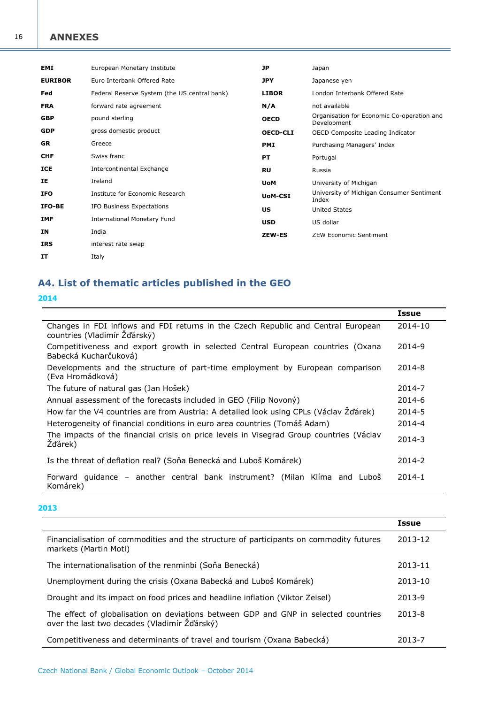## <span id="page-17-0"></span>**ANNEXES**

| <b>EMI</b>     | European Monetary Institute                  | JP              | Japan                                                     |
|----------------|----------------------------------------------|-----------------|-----------------------------------------------------------|
| <b>EURIBOR</b> | Euro Interbank Offered Rate                  | <b>JPY</b>      | Japanese yen                                              |
| Fed            | Federal Reserve System (the US central bank) | <b>LIBOR</b>    | London Interbank Offered Rate                             |
| <b>FRA</b>     | forward rate agreement                       | N/A             | not available                                             |
| <b>GBP</b>     | pound sterling                               | <b>OECD</b>     | Organisation for Economic Co-operation and<br>Development |
| <b>GDP</b>     | gross domestic product                       | <b>OECD-CLI</b> | OECD Composite Leading Indicator                          |
| <b>GR</b>      | Greece                                       | <b>PMI</b>      | Purchasing Managers' Index                                |
| <b>CHF</b>     | Swiss franc                                  | <b>PT</b>       | Portugal                                                  |
| <b>ICE</b>     | Intercontinental Exchange                    | <b>RU</b>       | Russia                                                    |
| ΙE             | Ireland                                      | <b>UoM</b>      | University of Michigan                                    |
| <b>IFO</b>     | Institute for Economic Research              | <b>UoM-CSI</b>  | University of Michigan Consumer Sentiment<br>Index        |
| <b>IFO-BE</b>  | IFO Business Expectations                    | US              | <b>United States</b>                                      |
| <b>IMF</b>     | <b>International Monetary Fund</b>           | <b>USD</b>      | US dollar                                                 |
| ΙN             | India                                        | <b>ZEW-ES</b>   | <b>ZEW Economic Sentiment</b>                             |
| <b>IRS</b>     | interest rate swap                           |                 |                                                           |
| IT             | Italy                                        |                 |                                                           |

# **A4. List of thematic articles published in the GEO**

| 2014                                                                                                              |              |
|-------------------------------------------------------------------------------------------------------------------|--------------|
|                                                                                                                   | <b>Issue</b> |
| Changes in FDI inflows and FDI returns in the Czech Republic and Central European<br>countries (Vladimír Žďárský) | 2014-10      |
| Competitiveness and export growth in selected Central European countries (Oxana<br>Babecká Kucharčuková)          | 2014-9       |
| Developments and the structure of part-time employment by European comparison<br>(Eva Hromádková)                 | 2014-8       |
| The future of natural gas (Jan Hošek)                                                                             | 2014-7       |
| Annual assessment of the forecasts included in GEO (Filip Novony)                                                 | 2014-6       |
| How far the V4 countries are from Austria: A detailed look using CPLs (Václav Žďárek)                             | 2014-5       |
| Heterogeneity of financial conditions in euro area countries (Tomáš Adam)                                         | 2014-4       |
| The impacts of the financial crisis on price levels in Visegrad Group countries (Václav<br>Žďárek)                | 2014-3       |
| Is the threat of deflation real? (Sona Benecka and Lubos Komarek)                                                 | 2014-2       |
| Forward guidance – another central bank instrument? (Milan Klíma and Luboš<br>Komárek)                            | $2014 - 1$   |

## **2013**

|                                                                                                                                     | <b>Issue</b> |
|-------------------------------------------------------------------------------------------------------------------------------------|--------------|
| Financialisation of commodities and the structure of participants on commodity futures<br>markets (Martin Motl)                     | 2013-12      |
| The internationalisation of the renminbi (Soña Benecká)                                                                             | 2013-11      |
| Unemployment during the crisis (Oxana Babecká and Luboš Komárek)                                                                    | 2013-10      |
| Drought and its impact on food prices and headline inflation (Viktor Zeisel)                                                        | 2013-9       |
| The effect of globalisation on deviations between GDP and GNP in selected countries<br>over the last two decades (Vladimír Žďárský) | 2013-8       |
| Competitiveness and determinants of travel and tourism (Oxana Babecká)                                                              | 2013-7       |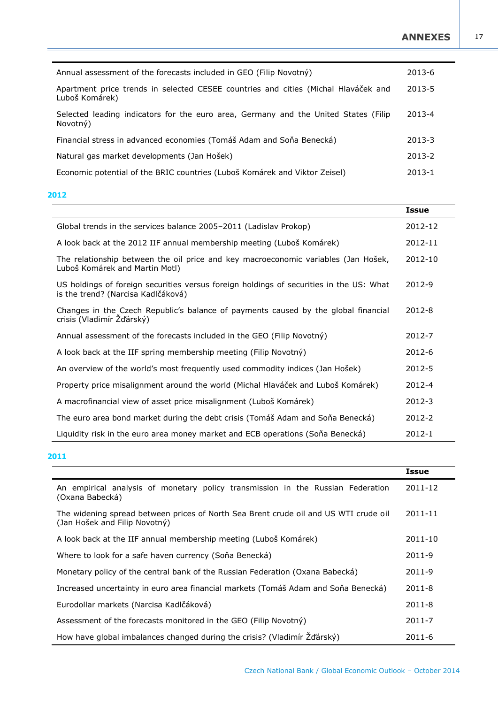17

| Annual assessment of the forecasts included in GEO (Filip Novotný)                                   | 2013-6 |
|------------------------------------------------------------------------------------------------------|--------|
| Apartment price trends in selected CESEE countries and cities (Michal Hlaváček and<br>Luboš Komárek) | 2013-5 |
| Selected leading indicators for the euro area, Germany and the United States (Filip<br>Novotný)      | 2013-4 |
| Financial stress in advanced economies (Tomáš Adam and Soňa Benecká)                                 | 2013-3 |
| Natural gas market developments (Jan Hošek)                                                          | 2013-2 |
| Economic potential of the BRIC countries (Luboš Komárek and Viktor Zeisel)                           | 2013-1 |

## **2012**

|                                                                                                                               | <b>Issue</b> |
|-------------------------------------------------------------------------------------------------------------------------------|--------------|
| Global trends in the services balance 2005-2011 (Ladislav Prokop)                                                             | 2012-12      |
| A look back at the 2012 IIF annual membership meeting (Luboš Komárek)                                                         | 2012-11      |
| The relationship between the oil price and key macroeconomic variables (Jan Hošek,<br>Luboš Komárek and Martin Motl)          | 2012-10      |
| US holdings of foreign securities versus foreign holdings of securities in the US: What<br>is the trend? (Narcisa Kadlčáková) | 2012-9       |
| Changes in the Czech Republic's balance of payments caused by the global financial<br>crisis (Vladimír Žďárský)               | 2012-8       |
| Annual assessment of the forecasts included in the GEO (Filip Novotný)                                                        | 2012-7       |
| A look back at the IIF spring membership meeting (Filip Novotný)                                                              | 2012-6       |
| An overview of the world's most frequently used commodity indices (Jan Hošek)                                                 | 2012-5       |
| Property price misalignment around the world (Michal Hlaváček and Luboš Komárek)                                              | 2012-4       |
| A macrofinancial view of asset price misalignment (Luboš Komárek)                                                             | 2012-3       |
| The euro area bond market during the debt crisis (Tomáš Adam and Soňa Benecká)                                                | 2012-2       |
| Liquidity risk in the euro area money market and ECB operations (Soña Benecká)                                                | 2012-1       |

## **2011**

|                                                                                                                       | <b>Issue</b> |
|-----------------------------------------------------------------------------------------------------------------------|--------------|
| An empirical analysis of monetary policy transmission in the Russian Federation<br>(Oxana Babecká)                    | 2011-12      |
| The widening spread between prices of North Sea Brent crude oil and US WTI crude oil<br>(Jan Hošek and Filip Novotný) | 2011-11      |
| A look back at the IIF annual membership meeting (Luboš Komárek)                                                      | 2011-10      |
| Where to look for a safe haven currency (Soňa Benecká)                                                                | 2011-9       |
| Monetary policy of the central bank of the Russian Federation (Oxana Babecká)                                         | 2011-9       |
| Increased uncertainty in euro area financial markets (Tomáš Adam and Soňa Benecká)                                    | 2011-8       |
| Eurodollar markets (Narcisa Kadlčáková)                                                                               | $2011 - 8$   |
| Assessment of the forecasts monitored in the GEO (Filip Novotný)                                                      | 2011-7       |
| How have global imbalances changed during the crisis? (Vladimír Žďárský)                                              | $2011 - 6$   |